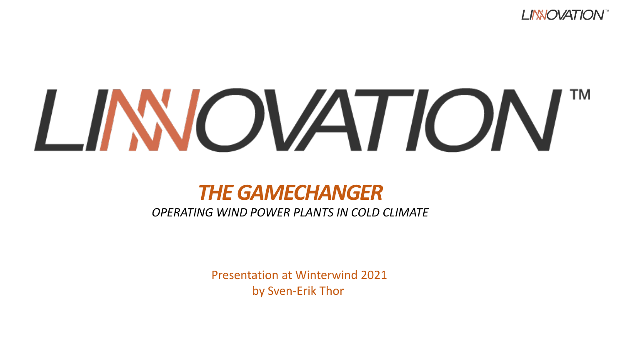

# LINNOVATION

#### *THE GAMECHANGER*

*OPERATING WIND POWER PLANTS IN COLD CLIMATE*

Presentation at Winterwind 2021 by Sven-Erik Thor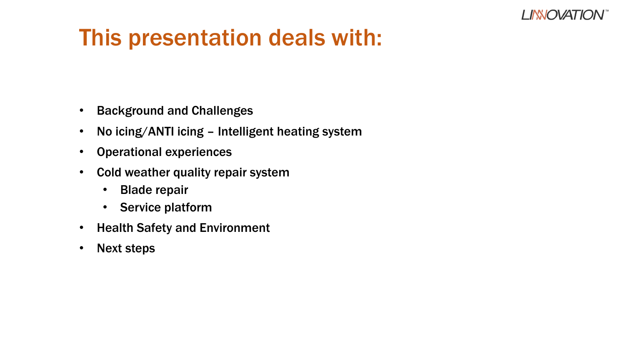#### **LINNOVATIO**

## This presentation deals with:

- Background and Challenges
- No icing/ANTI icing Intelligent heating system
- Operational experiences
- Cold weather quality repair system
	- Blade repair
	- Service platform
- Health Safety and Environment
- Next steps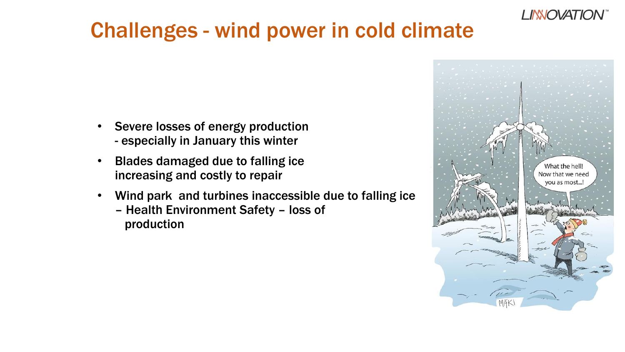

#### Challenges - wind power in cold climate

- Severe losses of energy production - especially in January this winter
- Blades damaged due to falling ice increasing and costly to repair
- Wind park and turbines inaccessible due to falling ice – Health Environment Safety – loss of production

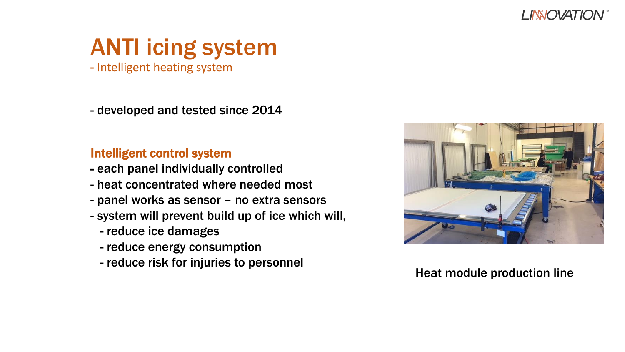

## ANTI icing system

- Intelligent heating system

- developed and tested since 2014

#### Intelligent control system

- each panel individually controlled
- heat concentrated where needed most
- panel works as sensor no extra sensors
- system will prevent build up of ice which will,
	- reduce ice damages
	- reduce energy consumption
	- reduce risk for injuries to personnel



#### Heat module production line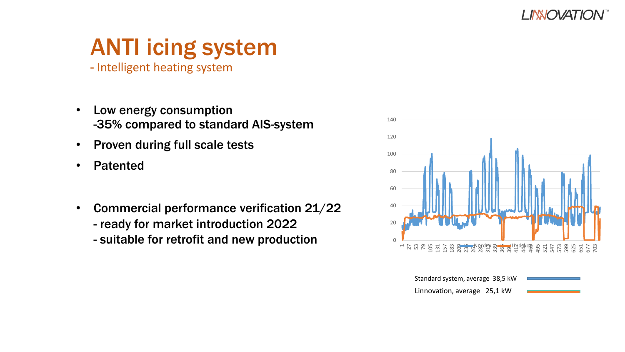

## ANTI icing system

- Intelligent heating system
- Low energy consumption -35% compared to standard AIS-system
- Proven during full scale tests
- Patented
- Commercial performance verification 21/22 - ready for market introduction 2022
	- suitable for retrofit and new production  $\qquad \qquad ^{\circ}$



Standard system, average 38,5 kW Linnovation, average 25,1 kW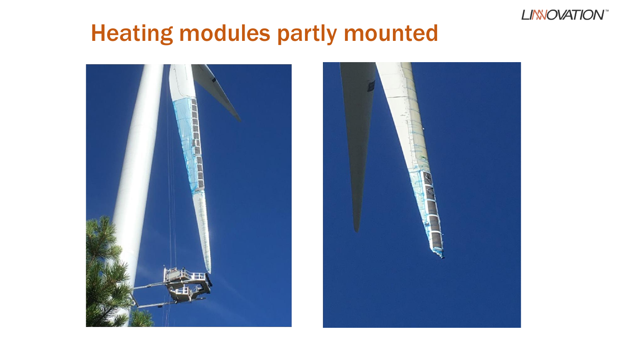

## Heating modules partly mounted



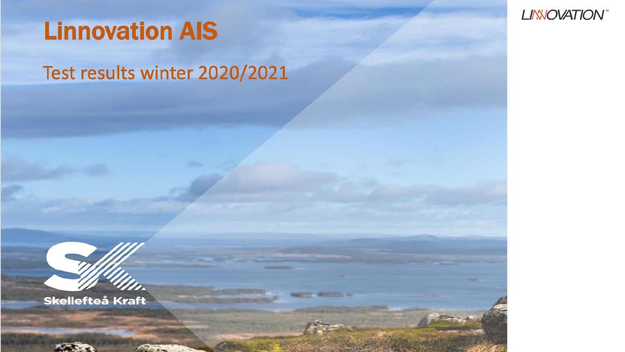

Test results winter 2020/2021







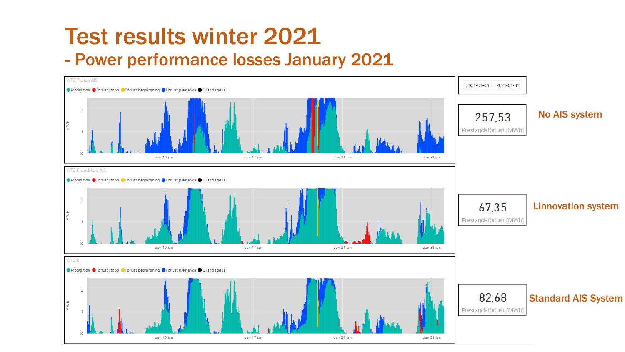#### Test results winter 2021 - Power performance losses January 2021

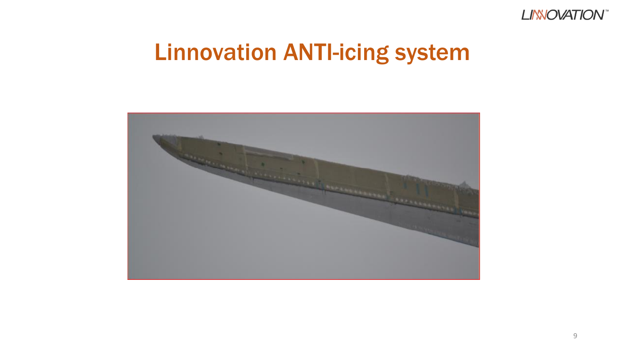

### Linnovation ANTI-icing system

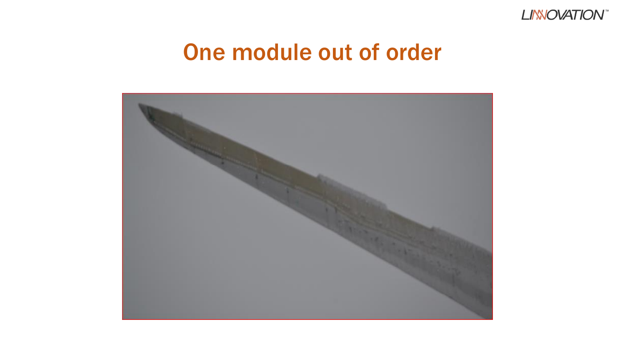

#### One module out of order

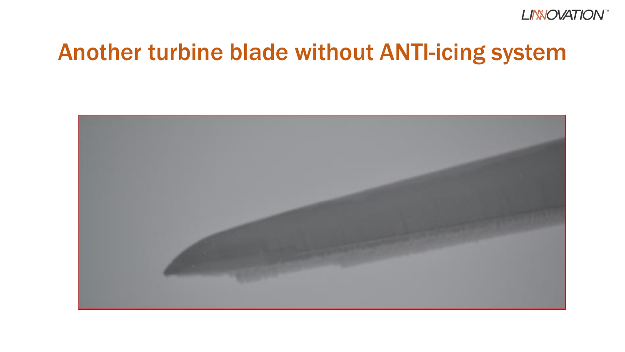

#### Another turbine blade without ANTI-icing system

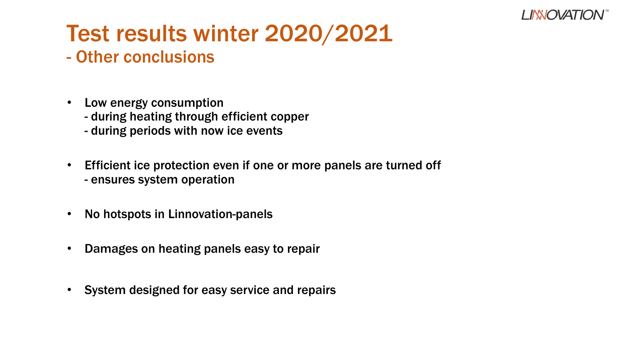

## Test results winter 2020/2021

#### - Other conclusions

- Low energy consumption
	- during heating through efficient copper
	- during periods with now ice events
- Efficient ice protection even if one or more panels are turned off - ensures system operation
- No hotspots in Linnovation-panels
- Damages on heating panels easy to repair
- System designed for easy service and repairs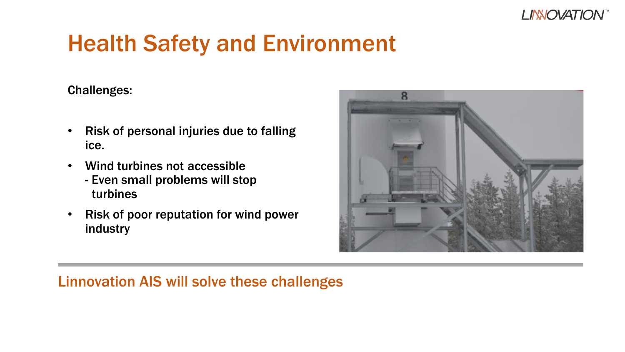

## Health Safety and Environment

Challenges:

- Risk of personal injuries due to falling ice.
- Wind turbines not accessible
	- Even small problems will stop turbines
- Risk of poor reputation for wind power industry



#### Linnovation AIS will solve these challenges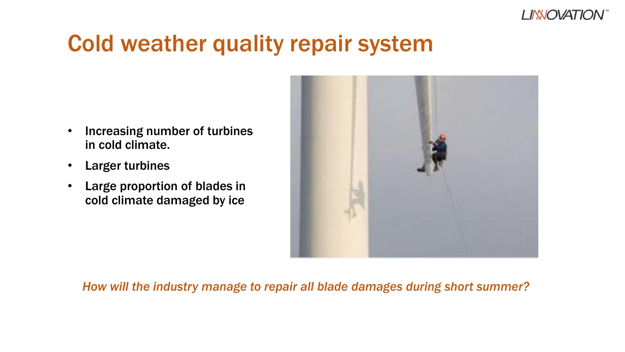

#### Cold weather quality repair system

- Increasing number of turbines in cold climate.
- **Larger turbines**
- Large proportion of blades in cold climate damaged by ice



#### *How will the industry manage to repair all blade damages during short summer?*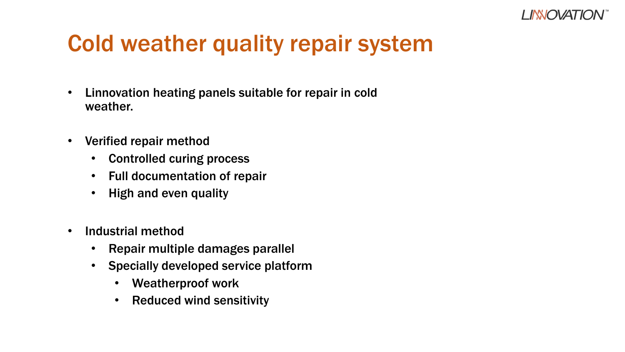

## Cold weather quality repair system

- Linnovation heating panels suitable for repair in cold weather.
- Verified repair method
	- Controlled curing process
	- Full documentation of repair
	- High and even quality
- Industrial method
	- Repair multiple damages parallel
	- Specially developed service platform
		- Weatherproof work
		- Reduced wind sensitivity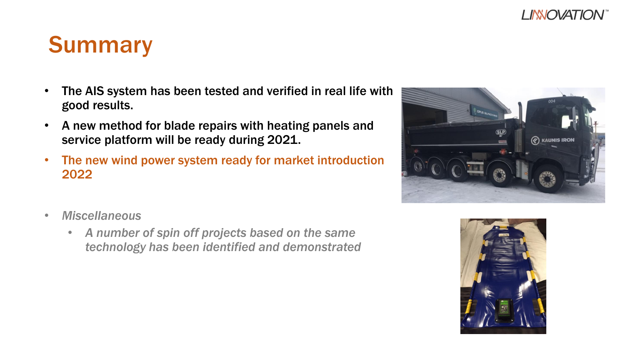#### **LINNOVATION**

#### Summary

- The AIS system has been tested and verified in real life with good results.
- A new method for blade repairs with heating panels and service platform will be ready during 2021.
- The new wind power system ready for market introduction 2022
- *Miscellaneous*
	- *A number of spin off projects based on the same technology has been identified and demonstrated*



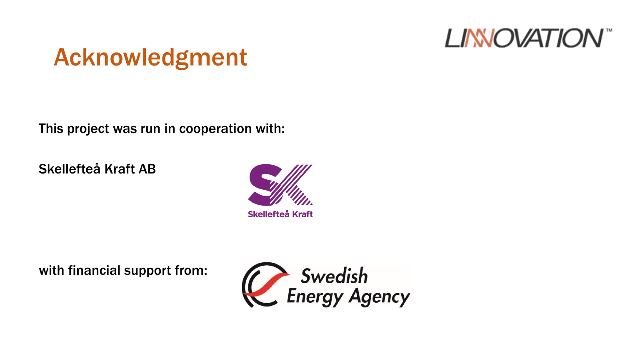

## Acknowledgment

This project was run in cooperation with:

Skellefteå Kraft AB



with financial support from: